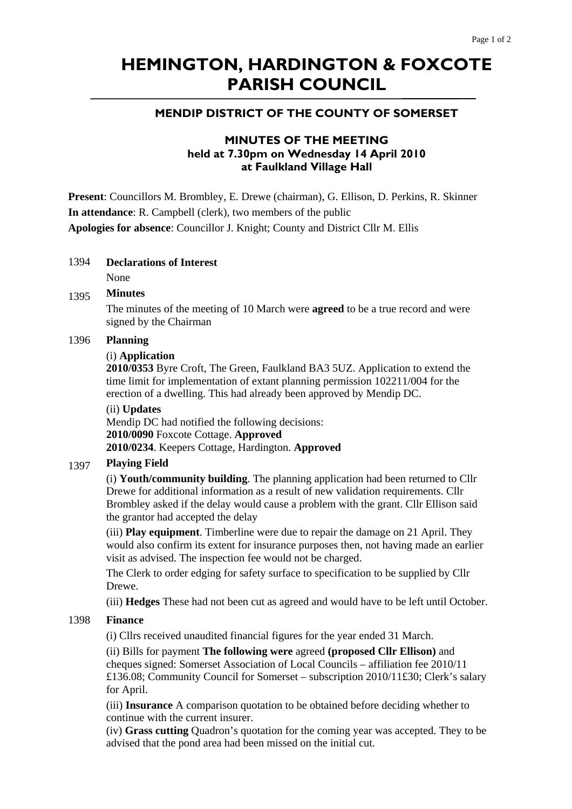# **HEMINGTON, HARDINGTON & FOXCOTE PARISH COUNCIL**

## **MENDIP DISTRICT OF THE COUNTY OF SOMERSET**

# **MINUTES OF THE MEETING held at 7.30pm on Wednesday 14 April 2010 at Faulkland Village Hall**

**Present**: Councillors M. Brombley, E. Drewe (chairman), G. Ellison, D. Perkins, R. Skinner **In attendance**: R. Campbell (clerk), two members of the public **Apologies for absence**: Councillor J. Knight; County and District Cllr M. Ellis

#### 1394 **Declarations of Interest**

None

#### 1395 **Minutes**

The minutes of the meeting of 10 March were **agreed** to be a true record and were signed by the Chairman

#### 1396 **Planning**

#### (i) **Application**

**2010/0353** Byre Croft, The Green, Faulkland BA3 5UZ. Application to extend the time limit for implementation of extant planning permission 102211/004 for the erection of a dwelling. This had already been approved by Mendip DC.

#### (ii) **Updates**

Mendip DC had notified the following decisions: **2010/0090** Foxcote Cottage. **Approved 2010/0234**. Keepers Cottage, Hardington. **Approved** 

#### 1397 **Playing Field**

(i) **Youth/community building**. The planning application had been returned to Cllr Drewe for additional information as a result of new validation requirements. Cllr Brombley asked if the delay would cause a problem with the grant. Cllr Ellison said the grantor had accepted the delay

(iii) **Play equipment**. Timberline were due to repair the damage on 21 April. They would also confirm its extent for insurance purposes then, not having made an earlier visit as advised. The inspection fee would not be charged.

The Clerk to order edging for safety surface to specification to be supplied by Cllr Drewe.

(iii) **Hedges** These had not been cut as agreed and would have to be left until October.

#### 1398 **Finance**

(i) Cllrs received unaudited financial figures for the year ended 31 March.

(ii) Bills for payment **The following were** agreed **(proposed Cllr Ellison)** and cheques signed: Somerset Association of Local Councils – affiliation fee 2010/11 £136.08; Community Council for Somerset – subscription 2010/11£30; Clerk's salary for April.

(iii) **Insurance** A comparison quotation to be obtained before deciding whether to continue with the current insurer.

(iv) **Grass cutting** Quadron's quotation for the coming year was accepted. They to be advised that the pond area had been missed on the initial cut.